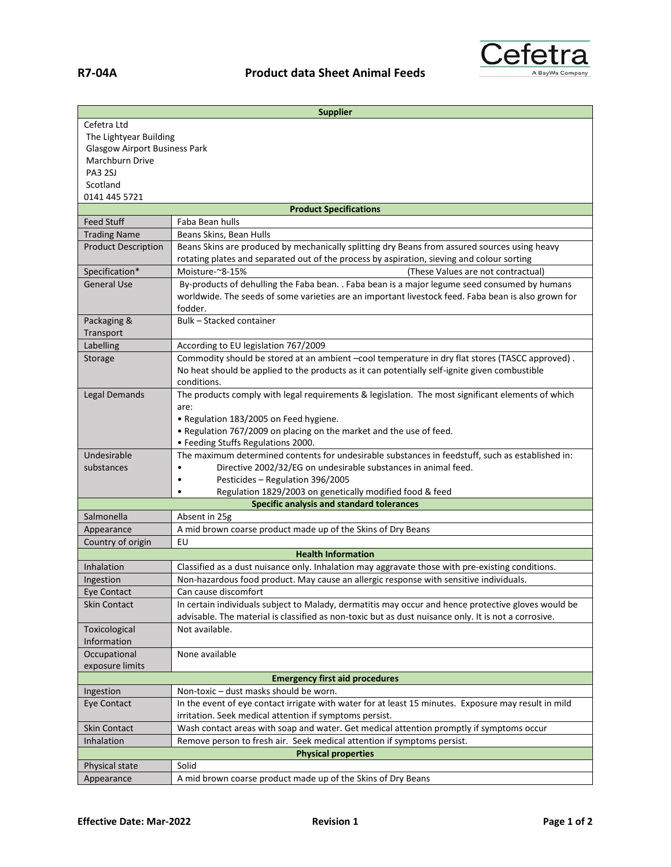

| <b>Supplier</b>                                                                       |                                                                                                                                                                                             |
|---------------------------------------------------------------------------------------|---------------------------------------------------------------------------------------------------------------------------------------------------------------------------------------------|
| Cefetra Ltd                                                                           |                                                                                                                                                                                             |
| The Lightyear Building                                                                |                                                                                                                                                                                             |
| <b>Glasgow Airport Business Park</b>                                                  |                                                                                                                                                                                             |
| Marchburn Drive                                                                       |                                                                                                                                                                                             |
| <b>PA3 2SJ</b>                                                                        |                                                                                                                                                                                             |
| Scotland                                                                              |                                                                                                                                                                                             |
| 0141 445 5721                                                                         |                                                                                                                                                                                             |
| <b>Product Specifications</b>                                                         |                                                                                                                                                                                             |
| <b>Feed Stuff</b>                                                                     | Faba Bean hulls                                                                                                                                                                             |
| <b>Trading Name</b>                                                                   | Beans Skins, Bean Hulls                                                                                                                                                                     |
| <b>Product Description</b>                                                            | Beans Skins are produced by mechanically splitting dry Beans from assured sources using heavy<br>rotating plates and separated out of the process by aspiration, sieving and colour sorting |
| Specification*                                                                        | Moisture-~8-15%<br>(These Values are not contractual)                                                                                                                                       |
| <b>General Use</b>                                                                    | By-products of dehulling the Faba bean. . Faba bean is a major legume seed consumed by humans                                                                                               |
|                                                                                       | worldwide. The seeds of some varieties are an important livestock feed. Faba bean is also grown for<br>fodder.                                                                              |
| Packaging &                                                                           | Bulk - Stacked container                                                                                                                                                                    |
| Transport                                                                             |                                                                                                                                                                                             |
| Labelling                                                                             | According to EU legislation 767/2009                                                                                                                                                        |
| Storage                                                                               | Commodity should be stored at an ambient -cool temperature in dry flat stores (TASCC approved).                                                                                             |
|                                                                                       | No heat should be applied to the products as it can potentially self-ignite given combustible<br>conditions.                                                                                |
| <b>Legal Demands</b>                                                                  | The products comply with legal requirements & legislation. The most significant elements of which                                                                                           |
|                                                                                       | are:                                                                                                                                                                                        |
|                                                                                       | • Regulation 183/2005 on Feed hygiene.                                                                                                                                                      |
|                                                                                       | . Regulation 767/2009 on placing on the market and the use of feed.                                                                                                                         |
|                                                                                       | · Feeding Stuffs Regulations 2000.                                                                                                                                                          |
| Undesirable                                                                           | The maximum determined contents for undesirable substances in feedstuff, such as established in:                                                                                            |
| substances                                                                            | Directive 2002/32/EG on undesirable substances in animal feed.<br>$\bullet$                                                                                                                 |
|                                                                                       | Pesticides - Regulation 396/2005<br>$\bullet$                                                                                                                                               |
|                                                                                       | Regulation 1829/2003 on genetically modified food & feed<br>$\bullet$                                                                                                                       |
|                                                                                       | <b>Specific analysis and standard tolerances</b>                                                                                                                                            |
| Salmonella                                                                            | Absent in 25g                                                                                                                                                                               |
| Appearance                                                                            | A mid brown coarse product made up of the Skins of Dry Beans                                                                                                                                |
| Country of origin                                                                     | EU                                                                                                                                                                                          |
|                                                                                       | <b>Health Information</b>                                                                                                                                                                   |
| Inhalation                                                                            | Classified as a dust nuisance only. Inhalation may aggravate those with pre-existing conditions.                                                                                            |
| Ingestion                                                                             | Non-hazardous food product. May cause an allergic response with sensitive individuals.                                                                                                      |
| Eye Contact                                                                           | Can cause discomfort                                                                                                                                                                        |
| <b>Skin Contact</b>                                                                   | In certain individuals subject to Malady, dermatitis may occur and hence protective gloves would be                                                                                         |
|                                                                                       | advisable. The material is classified as non-toxic but as dust nuisance only. It is not a corrosive.                                                                                        |
| Toxicological                                                                         | Not available.                                                                                                                                                                              |
| Information                                                                           |                                                                                                                                                                                             |
| Occupational                                                                          | None available                                                                                                                                                                              |
| exposure limits                                                                       |                                                                                                                                                                                             |
| <b>Emergency first aid procedures</b>                                                 |                                                                                                                                                                                             |
| Ingestion                                                                             | Non-toxic - dust masks should be worn.                                                                                                                                                      |
| Eye Contact                                                                           | In the event of eye contact irrigate with water for at least 15 minutes. Exposure may result in mild                                                                                        |
|                                                                                       | irritation. Seek medical attention if symptoms persist.                                                                                                                                     |
| Skin Contact                                                                          | Wash contact areas with soap and water. Get medical attention promptly if symptoms occur                                                                                                    |
| Inhalation<br>Remove person to fresh air. Seek medical attention if symptoms persist. |                                                                                                                                                                                             |
| <b>Physical properties</b>                                                            |                                                                                                                                                                                             |
| Physical state                                                                        | Solid                                                                                                                                                                                       |
| Appearance                                                                            | A mid brown coarse product made up of the Skins of Dry Beans                                                                                                                                |